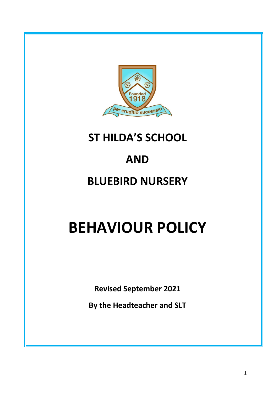

# **ST HILDA'S SCHOOL**

# **AND**

# **BLUEBIRD NURSERY**

# **BEHAVIOUR POLICY**

**Revised September 2021**

**By the Headteacher and SLT**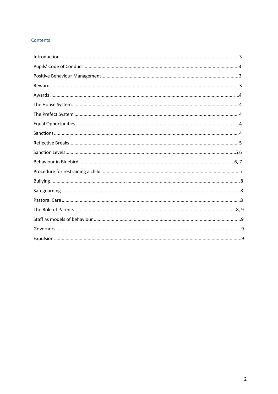# Contents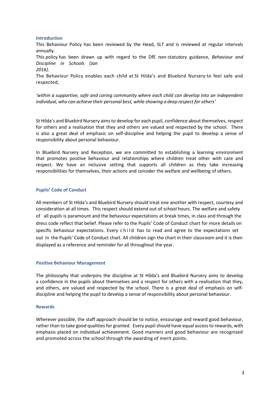#### **Introduction**

This Behaviour Policy has been reviewed by the Head, SLT and is reviewed at regular intervals annually.

This policy has been drawn up with regard to the DfE non-statutory guidance, *Behaviour and Discipline in Schools (Jan*

*2016).*

The Behaviour Policy enables each child at St Hilda's and Bluebird Nursery to feel safe and respected,

*'within a supportive, safe and caring community where each child can develop into an independent individual, who can achieve their personal best, while showing a deep respect for others'*

St Hilda's and Bluebird Nursery aimsto develop for each pupil, confidence about themselves, respect for others and a realisation that they and others are valued and respected by the school. There is also a great deal of emphasis on self-discipline and helping the pupil to develop a sense of responsibility about personal behaviour.

In Bluebird Nursery and Reception, we are committed to establishing a learning environment that promotes positive behaviour and relationships where children treat other with care and respect. We have an inclusive setting that supports all children as they take increasing responsibilities for themselves, their actions and consider the welfare and wellbeing of others.

# **Pupils' Code of Conduct**

 All members of St Hilda's and Bluebird Nursery should treat one another with respect, courtesy and consideration at all times. This respect should extend out of school hours. The welfare and safety of all pupils is paramount and the behaviour expectations at break times, in class and through the dress code reflect that belief. Please refer to the Pupils' Code of Conduct chart for more details on specific behaviour expectations. Every child has to read and agree to the expectations set out in the Pupils' Code of Conduct chart. All children sign the chart in their classroom and it is then displayed as a reference and reminder for all throughout the year.

#### **Positive Behaviour Management**

The philosophy that underpins the discipline at St Hilda's and Bluebird Nursery aims to develop a confidence in the pupils about themselves and a respect for others with a realisation that they, and others, are valued and respected by the school. There is a great deal of emphasis on selfdiscipline and helping the pupil to develop a sense of responsibility about personal behaviour.

#### **Rewards**

Wherever possible, the staff approach should be to notice, encourage and reward good behaviour, rather than to take good qualities for granted. Every pupil should have equal access to rewards, with emphasis placed on individual achievement. Good manners and good behaviour are recognised and promoted across the school through the awarding of merit points.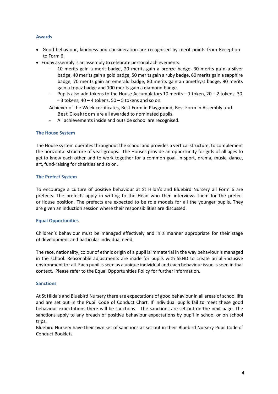### **Awards**

- Good behaviour, kindness and consideration are recognised by merit points from Reception to Form 6.
- Friday assembly is an assembly to celebrate personal achievements:
	- 10 merits gain a merit badge, 20 merits gain a bronze badge, 30 merits gain a silver badge, 40 merits gain a gold badge, 50 merits gain a ruby badge, 60 merits gain a sapphire badge, 70 merits gain an emerald badge, 80 merits gain an amethyst badge, 90 merits gain a topaz badge and 100 merits gain a diamond badge.
	- Pupils also add tokens to the House Accumulators 10 merits  $-1$  token, 20 2 tokens, 30  $-3$  tokens, 40 – 4 tokens, 50 – 5 tokens and so on.

Achiever of the Week certificates, Best Form in Playground, Best Form in Assembly and Best Cloakroom are all awarded to nominated pupils.

All achievements inside and outside school are recognised.

# **The House System**

The House system operates throughout the school and provides a vertical structure, to complement the horizontal structure of year groups. The Houses provide an opportunity for girls of all ages to get to know each other and to work together for a common goal, in sport, drama, music, dance, art, fund-raising for charities and so on.

# **The Prefect System**

To encourage a culture of positive behaviour at St Hilda's and Bluebird Nursery all Form 6 are prefects. The prefects apply in writing to the Head who then interviews them for the prefect or House position. The prefects are expected to be role models for all the younger pupils. They are given an induction session where their responsibilities are discussed.

# **Equal Opportunities**

Children's behaviour must be managed effectively and in a manner appropriate for their stage of development and particular individual need.

The race, nationality, colour of ethnic origin of a pupil is immaterial in the way behaviour is managed in the school. Reasonable adjustments are made for pupils with SEND to create an all-inclusive environment for all. Each pupil is seen as a unique individual and each behaviour issue is seen in that context. Please refer to the Equal Opportunities Policy for further information.

#### **Sanctions**

At St Hilda's and Bluebird Nursery there are expectations of good behaviour in all areas of school life and are set out in the Pupil Code of Conduct Chart. If individual pupils fail to meet these good behaviour expectations there will be sanctions. The sanctions are set out on the next page. The sanctions apply to any breach of positive behaviour expectations by pupil in school or on school trips.

Bluebird Nursery have their own set of sanctions as set out in their Bluebird Nursery Pupil Code of Conduct Booklets.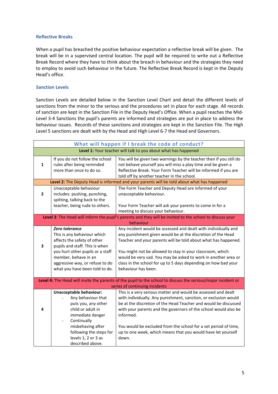#### **Reflective Breaks**

When a pupil has breached the positive behaviour expectation a reflective break will be given. The break will be in a supervised central location. The pupil will be required to write out a Reflective Break Record where they have to think about the breach in behaviour and the strategies they need to employ to avoid such behaviour in the future. The Reflective Break Record is kept in the Deputy Head's office.

### **Sanction Levels**

Sanction Levels are detailed below in the Sanction Level Chart and detail the different levels of sanctions from the minor to the serious and the procedures set in place for each stage. All records of sanction are kept in the Sanction File in the Deputy Head's Office. When a pupil reaches the Mid-Level 3-4 Sanctions the pupil's parents are informed and strategies are put in place to address the behaviour issues. Records of these sanctions and strategies are kept in the Sanction File. The High Level 5 sanctions are dealt with by the Head and High Level 6-7 the Head and Governors.

| What will happen if I break the code of conduct?                                                                                                |                                                                                                                               |                                                                                                                                                                                                                                                                                     |  |
|-------------------------------------------------------------------------------------------------------------------------------------------------|-------------------------------------------------------------------------------------------------------------------------------|-------------------------------------------------------------------------------------------------------------------------------------------------------------------------------------------------------------------------------------------------------------------------------------|--|
| Level 1: Your teacher will talk to you about what has happened                                                                                  |                                                                                                                               |                                                                                                                                                                                                                                                                                     |  |
| $\mathbf{1}$                                                                                                                                    | If you do not follow the school<br>rules after being reminded<br>more than once to do so.                                     | You will be given two warnings by the teacher then if you still do<br>not behave yourself you will miss a play time and be given a<br>Reflective Break. Your Form Teacher will be informed if you are<br>told off by another teacher in the school.                                 |  |
| Level 2: The Deputy Head is informed and your parents will be told about what has happened                                                      |                                                                                                                               |                                                                                                                                                                                                                                                                                     |  |
| $\mathbf{2}$                                                                                                                                    | Unacceptable behaviour<br>includes: pushing, punching,<br>spitting, talking back to the<br>teacher, being rude to others.     | The Form Teacher and Deputy Head are informed of your<br>unacceptable behaviour.<br>Your Form Teacher will ask your parents to come in for a                                                                                                                                        |  |
|                                                                                                                                                 |                                                                                                                               | meeting to discuss your behaviour.                                                                                                                                                                                                                                                  |  |
| Level 3: The Head will inform the pupil's parents and they will be invited to the school to discuss your                                        |                                                                                                                               |                                                                                                                                                                                                                                                                                     |  |
|                                                                                                                                                 |                                                                                                                               | behaviour                                                                                                                                                                                                                                                                           |  |
| 3                                                                                                                                               | Zero tolerance<br>This is any behaviour which<br>affects the safety of other<br>pupils and staff. This is when                | Any incident would be assessed and dealt with individually and<br>any punishment given would be at the discretion of the Head<br>Teacher and your parents will be told about what has happened.                                                                                     |  |
|                                                                                                                                                 | you hurt other pupils or a staff<br>member, behave in an<br>aggressive way, or refuse to do<br>what you have been told to do. | You might not be allowed to stay in your classroom, which<br>would be very sad. You may be asked to work in another area or<br>class in the school for up to 5 days depending on how bad your<br>behaviour has been.                                                                |  |
| Level 4: The Head will invite the parents of the pupil to the school to discuss the serious/major incident or<br>series of continuing incidents |                                                                                                                               |                                                                                                                                                                                                                                                                                     |  |
| 4                                                                                                                                               | Unacceptable behaviour:<br>Any behaviour that<br>puts you, any other<br>child or adult in<br>immediate danger<br>Continually  | This is a very serious matter and would be assessed and dealt<br>with individually. Any punishment, sanction, or exclusion would<br>be at the discretion of the Head Teacher and would be discussed<br>with your parents and the governors of the school would also be<br>informed. |  |
|                                                                                                                                                 | misbehaving after<br>following the steps for<br>levels 1, 2 or 3 as<br>described above.                                       | You would be excluded from the school for a set period of time,<br>up to one week, which means that you would have let yourself<br>down.                                                                                                                                            |  |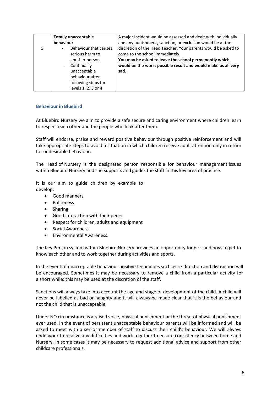| <b>Totally unacceptable</b>             | A major incident would be assessed and dealt with individually |
|-----------------------------------------|----------------------------------------------------------------|
| behaviour                               | and any punishment, sanction, or exclusion would be at the     |
| Behaviour that causes                   | discretion of the Head Teacher. Your parents would be asked to |
| serious harm to                         | come to the school immediately.                                |
| another person                          | You may be asked to leave the school permanently which         |
| Continually<br>$\overline{\phantom{a}}$ | would be the worst possible result and would make us all very  |
| unacceptable                            | sad.                                                           |
| behaviour after                         |                                                                |
| following steps for                     |                                                                |
| levels 1, 2, 3 or 4                     |                                                                |

# **Behaviour in Bluebird**

At Bluebird Nursery we aim to provide a safe secure and caring environment where children learn to respect each other and the people who look after them.

Staff will endorse, praise and reward positive behaviour through positive reinforcement and will take appropriate steps to avoid a situation in which children receive adult attention only in return for undesirable behaviour.

The Head of Nursery is the designated person responsible for behaviour management issues within Bluebird Nursery and she supports and guides the staff in this key area of practice.

It is our aim to guide children by example to develop:

- Good manners
- Politeness
- Sharing
- Good interaction with their peers
- Respect for children, adults and equipment
- Social Awareness
- Environmental Awareness.

The Key Person system within Bluebird Nursery provides an opportunity for girls and boys to get to know each other and to work together during activities and sports.

In the event of unacceptable behaviour positive techniques such as re-direction and distraction will be encouraged. Sometimes it may be necessary to remove a child from a particular activity for a short while; this may be used at the discretion of the staff.

Sanctions will always take into account the age and stage of development of the child. A child will never be labelled as bad or naughty and it will always be made clear that it is the behaviour and not the child that is unacceptable.

Under NO circumstance is a raised voice, physical punishment or the threat of physical punishment ever used. In the event of persistent unacceptable behaviour parents will be informed and will be asked to meet with a senior member of staff to discuss their child's behaviour. We will always endeavour to resolve any difficulties and work together to ensure consistency between home and Nursery. In some cases it may be necessary to request additional advice and support from other childcare professionals.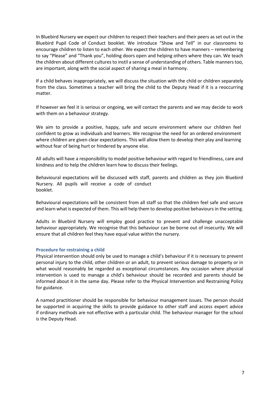In Bluebird Nursery we expect our children to respect their teachers and their peers as set out in the Bluebird Pupil Code of Conduct booklet. We introduce "Show and Tell" in our classrooms to encourage children to listen to each other. We expect the children to have manners – remembering to say "Please" and "Thank you", holding doors open and helping others where they can. We teach the children about different cultures to instil a sense of understanding of others. Table manners too, are important, along with the social aspect of sharing a meal in harmony.

If a child behaves inappropriately, we will discuss the situation with the child or children separately from the class. Sometimes a teacher will bring the child to the Deputy Head if it is a reoccurring matter.

If however we feel it is serious or ongoing, we will contact the parents and we may decide to work with them on a behaviour strategy.

We aim to provide a positive, happy, safe and secure environment where our children feel confident to grow as individuals and learners. We recognise the need for an ordered environment where children are given clear expectations. This will allow them to develop their play and learning without fear of being hurt or hindered by anyone else.

All adults will have a responsibility to model positive behaviour with regard to friendliness, care and kindness and to help the children learn how to discuss their feelings.

Behavioural expectations will be discussed with staff, parents and children as they join Bluebird Nursery. All pupils will receive a code of conduct booklet.

Behavioural expectations will be consistent from all staff so that the children feel safe and secure and learn what is expected of them. This will help them to develop positive behavioursin the setting.

Adults in Bluebird Nursery will employ good practice to prevent and challenge unacceptable behaviour appropriately. We recognise that this behaviour can be borne out of insecurity. We will ensure that all children feel they have equal value within the nursery.

#### **Procedure for restraining a child**

Physical intervention should only be used to manage a child's behaviour if it is necessary to prevent personal injury to the child, other children or an adult, to prevent serious damage to property or in what would reasonably be regarded as exceptional circumstances. Any occasion where physical intervention is used to manage a child's behaviour should be recorded and parents should be informed about it in the same day. Please refer to the Physical Intervention and Restraining Policy for guidance.

A named practitioner should be responsible for behaviour management issues. The person should be supported in acquiring the skills to provide guidance to other staff and access expert advice if ordinary methods are not effective with a particular child. The behaviour manager for the school is the Deputy Head.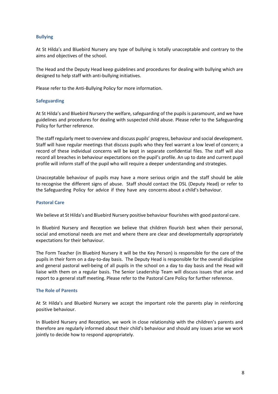#### **Bullying**

At St Hilda's and Bluebird Nursery any type of bullying is totally unacceptable and contrary to the aims and objectives of the school.

The Head and the Deputy Head keep guidelines and procedures for dealing with bullying which are designed to help staff with anti-bullying initiatives.

Please refer to the Anti-Bullying Policy for more information.

#### **Safeguarding**

At St Hilda's and Bluebird Nursery the welfare, safeguarding of the pupils is paramount, and we have guidelines and procedures for dealing with suspected child abuse. Please refer to the Safeguarding Policy for further reference.

The staff regularly meet to overview and discuss pupils' progress, behaviour and social development. Staff will have regular meetings that discuss pupils who they feel warrant a low level of concern; a record of these individual concerns will be kept in separate confidential files. The staff will also record all breaches in behaviour expectations on the pupil's profile. An up to date and current pupil profile will inform staff of the pupil who will require a deeper understanding and strategies.

Unacceptable behaviour of pupils may have a more serious origin and the staff should be able to recognise the different signs of abuse. Staff should contact the DSL (Deputy Head) or refer to the Safeguarding Policy for advice if they have any concerns about a child's behaviour.

#### **Pastoral Care**

We believe at St Hilda's and Bluebird Nursery positive behaviour flourishes with good pastoral care.

In Bluebird Nursery and Reception we believe that children flourish best when their personal, social and emotional needs are met and where there are clear and developmentally appropriately expectations for their behaviour.

The Form Teacher (in Bluebird Nursery it will be the Key Person) is responsible for the care of the pupils in their form on a day-to-day basis. The Deputy Head is responsible for the overall discipline and general pastoral well-being of all pupils in the school on a day to day basis and the Head will liaise with them on a regular basis. The Senior Leadership Team will discuss issues that arise and report to a general staff meeting. Please refer to the Pastoral Care Policy for further reference.

#### **The Role of Parents**

At St Hilda's and Bluebird Nursery we accept the important role the parents play in reinforcing positive behaviour.

In Bluebird Nursery and Reception, we work in close relationship with the children's parents and therefore are regularly informed about their child's behaviour and should any issues arise we work jointly to decide how to respond appropriately.